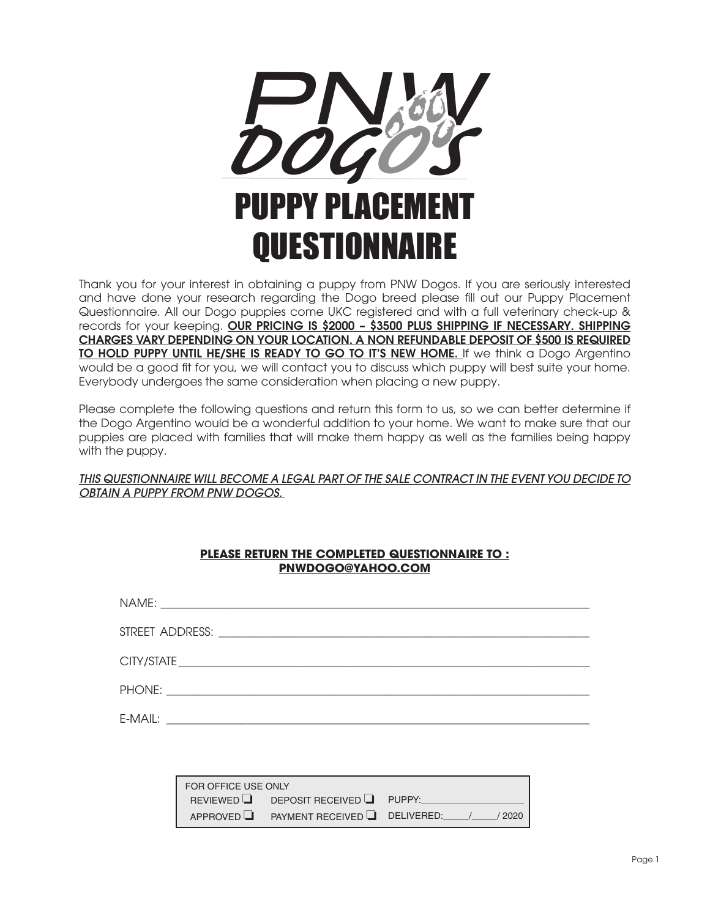

obtaining a puppy from PNW Dogos. If you a<br>th regarding the Dogo breed please fill out a<br>puppies come UKC registered and with a full v<br>**R PRICING IS \$2000 - \$3500 PLUS SHIPPING IF IN YOUR LOCATION. A NON REFUNDABLE DEPOSI** Thank you for your interest in obtaining a puppy from PNW Dogos. If you are seriously interested and have done your research regarding the Dogo breed please fill out our Puppy Placement Questionnaire. All our Dogo puppies come UKC registered and with a full veterinary check-up & records for your keeping. OUR PRICING IS \$2000 - \$3500 PLUS SHIPPING IF NECESSARY. SHIPPING CHARGES VARY DEPENDING ON YOUR LOCATION. A NON REFUNDABLE DEPOSIT OF \$500 IS REQUIRED TO HOLD PUPPY UNTIL HE/SHE IS READY TO GO TO IT'S NEW HOME. If we think a Dogo Argentino would be a good fit for you, we will contact you to discuss which puppy will best suite your home. Everybody undergoes the same consideration when placing a new puppy.

Please complete the following questions and return this form to us, so we can better determine if the Dogo Argentino would be a wonderful addition to your home. We want to make sure that our puppies are placed with families that will make them happy as well as the families being happy with the puppy.

## *THIS QUESTIONNAIRE WILL BECOME A LEGAL PART OF THE SALE CONTRACT IN THE EVENT YOU DECIDE TO OBTAIN A PUPPY FROM PNW DOGOS.*

| PLEASE RETURN THE COMPLETED QUESTIONNAIRE TO : |  |
|------------------------------------------------|--|
| PNWDOGO@YAHOO.COM                              |  |

| FOR OFFICE USE ONLY |                                         |        |
|---------------------|-----------------------------------------|--------|
|                     | REVIEWED <b>DEPOSIT RECEIVED</b> PUPPY: |        |
|                     | APPROVED PAYMENT RECEIVED DELIVERED:    | / 2020 |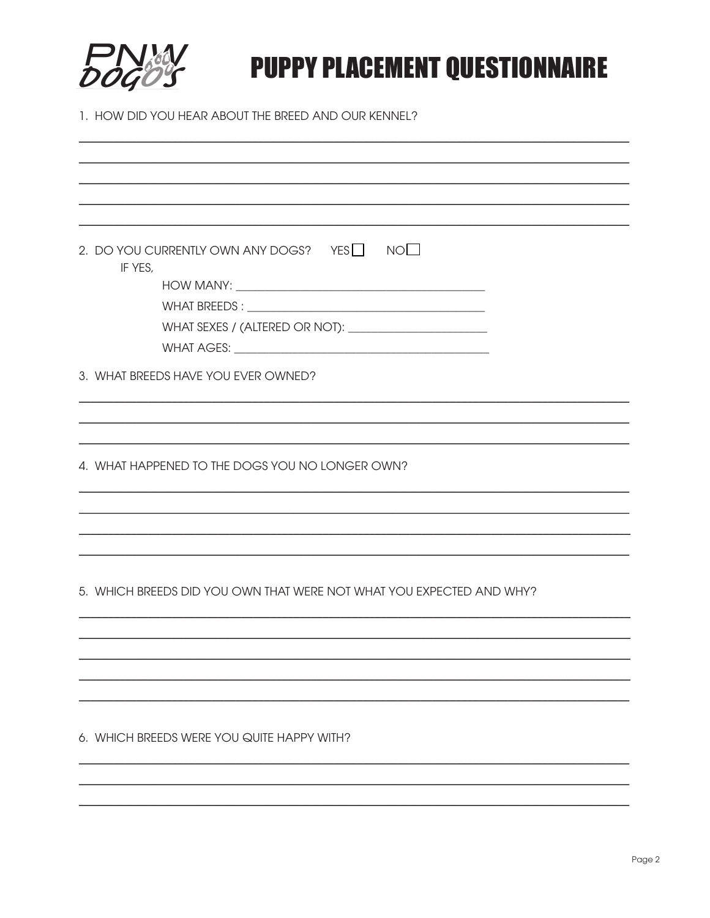

## **PUPPY PLACEMENT QUESTIONNAIRE**

1. HOW DID YOU HEAR ABOUT THE BREED AND OUR KENNEL?

| 2. DO YOU CURRENTLY OWN ANY DOGS? YES $\Box$ NO $\Box$<br>IF YES,    |
|----------------------------------------------------------------------|
|                                                                      |
| 3. WHAT BREEDS HAVE YOU EVER OWNED?                                  |
|                                                                      |
|                                                                      |
|                                                                      |
| 4. WHAT HAPPENED TO THE DOGS YOU NO LONGER OWN?                      |
|                                                                      |
|                                                                      |
|                                                                      |
|                                                                      |
| 5. WHICH BREEDS DID YOU OWN THAT WERE NOT WHAT YOU EXPECTED AND WHY? |
|                                                                      |
|                                                                      |
|                                                                      |
|                                                                      |
|                                                                      |
| 6. WHICH BREEDS WERE YOU QUITE HAPPY WITH?                           |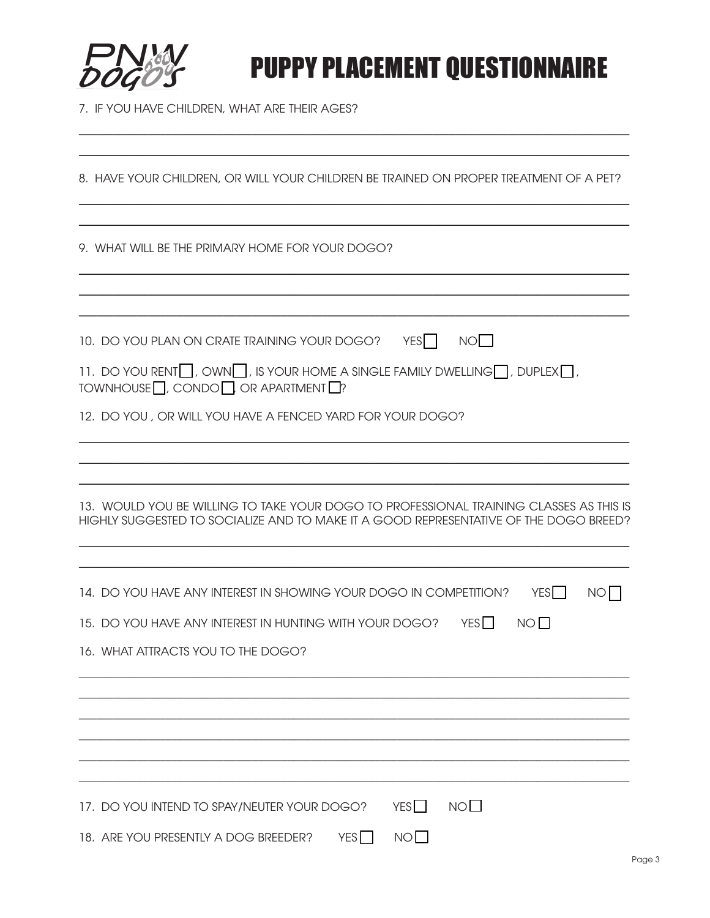

## **PNW**<br>DOGO'S PUPPY PLACEMENT QUESTIONNAIRE

7. IF YOU HAVE CHILDREN, WHAT ARE THEIR AGES?

| 8. HAVE YOUR CHILDREN, OR WILL YOUR CHILDREN BE TRAINED ON PROPER TREATMENT OF A PET?                                                                                           |
|---------------------------------------------------------------------------------------------------------------------------------------------------------------------------------|
| 9. WHAT WILL BE THE PRIMARY HOME FOR YOUR DOGO?                                                                                                                                 |
|                                                                                                                                                                                 |
| NO<br>10. DO YOU PLAN ON CRATE TRAINING YOUR DOGO? YES                                                                                                                          |
| 11. DO YOU RENT $\Box$ , OWN $\Box$ , IS YOUR HOME A SINGLE FAMILY DWELLING $\Box$ , DUPLEX $\Box$ ,<br>TOWNHOUSE $\Box$ , CONDO $\Box$ OR APARTMENT $\Box$ ?                   |
| 12. DO YOU, OR WILL YOU HAVE A FENCED YARD FOR YOUR DOGO?                                                                                                                       |
|                                                                                                                                                                                 |
| 13. WOULD YOU BE WILLING TO TAKE YOUR DOGO TO PROFESSIONAL TRAINING CLASSES AS THIS IS<br>HIGHLY SUGGESTED TO SOCIALIZE AND TO MAKE IT A GOOD REPRESENTATIVE OF THE DOGO BREED? |
| YES    <br>14. DO YOU HAVE ANY INTEREST IN SHOWING YOUR DOGO IN COMPETITION?<br>NO I                                                                                            |
| 15. DO YOU HAVE ANY INTEREST IN HUNTING WITH YOUR DOGO? YES<br>$N$ $\circ$ $\Box$                                                                                               |
| 16. WHAT ATTRACTS YOU TO THE DOGO?                                                                                                                                              |
|                                                                                                                                                                                 |
|                                                                                                                                                                                 |
|                                                                                                                                                                                 |
| NO <sub>1</sub><br>YES<br>17. DO YOU INTEND TO SPAY/NEUTER YOUR DOGO?                                                                                                           |
| NO<br>YES<br>18. ARE YOU PRESENTLY A DOG BREEDER?                                                                                                                               |